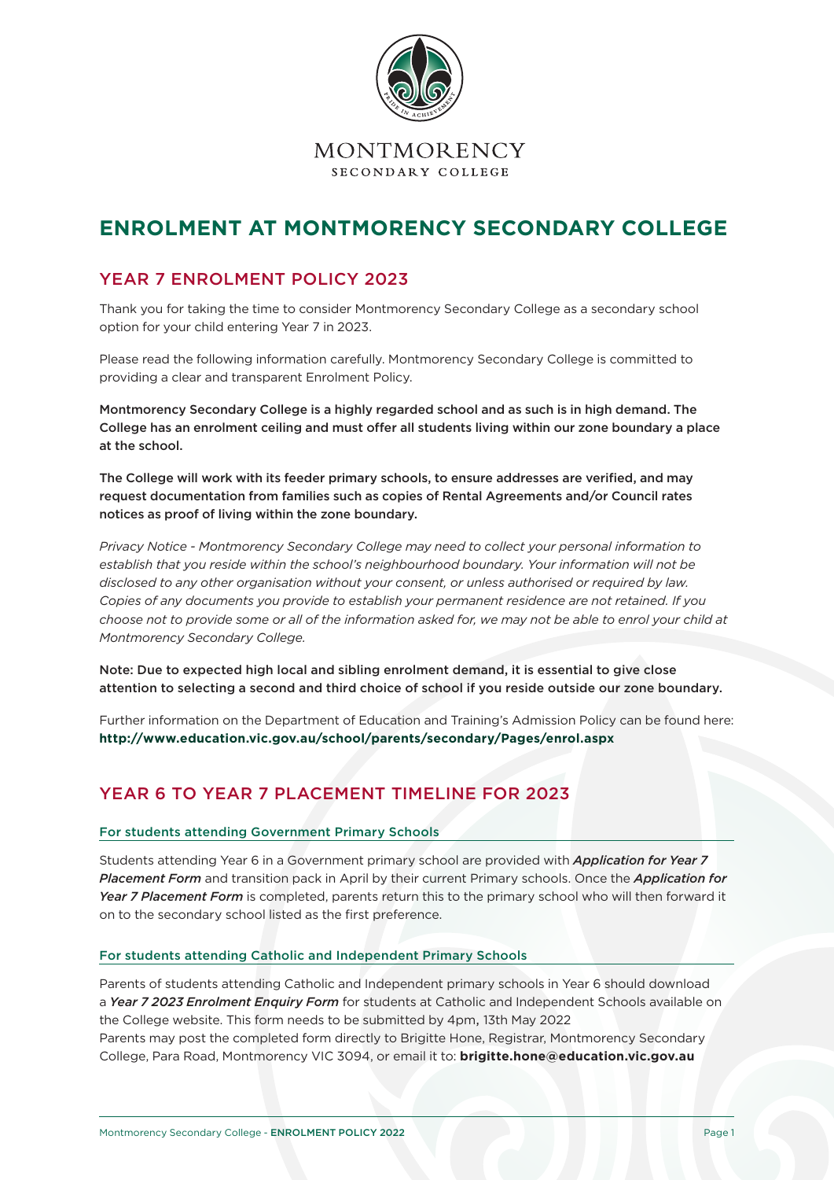

# **ENROLMENT AT MONTMORENCY SECONDARY COLLEGE**

# YEAR 7 ENROLMENT POLICY 2023

Thank you for taking the time to consider Montmorency Secondary College as a secondary school option for your child entering Year 7 in 2023.

Please read the following information carefully. Montmorency Secondary College is committed to providing a clear and transparent Enrolment Policy.

Montmorency Secondary College is a highly regarded school and as such is in high demand. The College has an enrolment ceiling and must offer all students living within our zone boundary a place at the school.

The College will work with its feeder primary schools, to ensure addresses are verified, and may request documentation from families such as copies of Rental Agreements and/or Council rates notices as proof of living within the zone boundary.

*Privacy Notice - Montmorency Secondary College may need to collect your personal information to establish that you reside within the school's neighbourhood boundary. Your information will not be disclosed to any other organisation without your consent, or unless authorised or required by law. Copies of any documents you provide to establish your permanent residence are not retained. If you choose not to provide some or all of the information asked for, we may not be able to enrol your child at Montmorency Secondary College.*

Note: Due to expected high local and sibling enrolment demand, it is essential to give close attention to selecting a second and third choice of school if you reside outside our zone boundary.

Further information on the Department of Education and Training's Admission Policy can be found here: **http://www.education.vic.gov.au/school/parents/secondary/Pages/enrol.aspx**

# YEAR 6 TO YEAR 7 PLACEMENT TIMELINE FOR 2023

#### For students attending Government Primary Schools

Students attending Year 6 in a Government primary school are provided with *Application for Year 7 Placement Form* and transition pack in April by their current Primary schools. Once the *Application for Year 7 Placement Form* is completed, parents return this to the primary school who will then forward it on to the secondary school listed as the first preference.

#### For students attending Catholic and Independent Primary Schools

Parents of students attending Catholic and Independent primary schools in Year 6 should download a *Year 7 2023 Enrolment Enquiry Form* for students at Catholic and Independent Schools available on the College website. This form needs to be submitted by 4pm, 13th May 2022

Parents may post the completed form directly to Brigitte Hone, Registrar, Montmorency Secondary College, Para Road, Montmorency VIC 3094, or email it to: **brigitte.hone@education.vic.gov.au**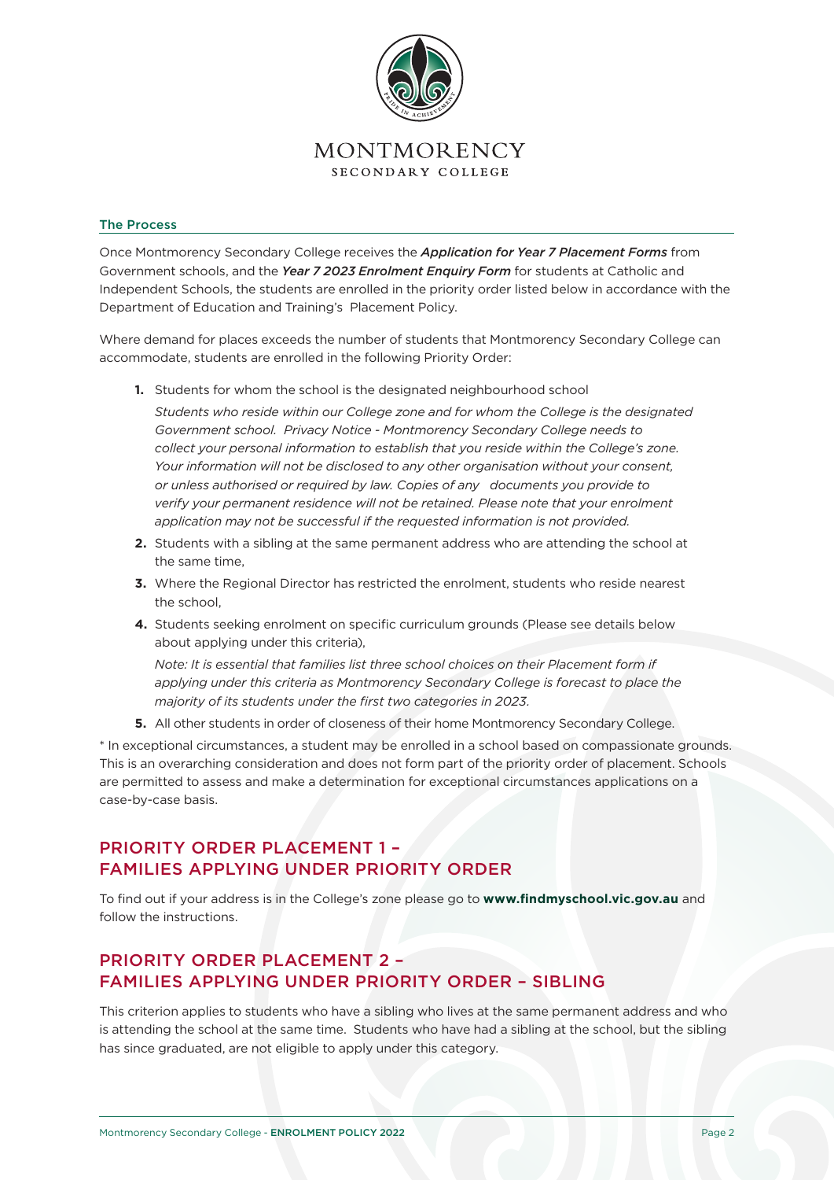

#### The Process

Once Montmorency Secondary College receives the *Application for Year 7 Placement Forms* from Government schools, and the *Year 7 2023 Enrolment Enquiry Form* for students at Catholic and Independent Schools, the students are enrolled in the priority order listed below in accordance with the Department of Education and Training's Placement Policy.

Where demand for places exceeds the number of students that Montmorency Secondary College can accommodate, students are enrolled in the following Priority Order:

**1.** Students for whom the school is the designated neighbourhood school

*Students who reside within our College zone and for whom the College is the designated Government school. Privacy Notice - Montmorency Secondary College needs to collect your personal information to establish that you reside within the College's zone. Your information will not be disclosed to any other organisation without your consent, or unless authorised or required by law. Copies of any documents you provide to verify your permanent residence will not be retained. Please note that your enrolment application may not be successful if the requested information is not provided.*

- **2.** Students with a sibling at the same permanent address who are attending the school at the same time,
- **3.** Where the Regional Director has restricted the enrolment, students who reside nearest the school,
- **4.** Students seeking enrolment on specific curriculum grounds (Please see details below about applying under this criteria),

*Note: It is essential that families list three school choices on their Placement form if* applying under this criteria as Montmorency Secondary College is forecast to place the *majority of its students under the first two categories in 2023.*

**5.** All other students in order of closeness of their home Montmorency Secondary College.

\* In exceptional circumstances, a student may be enrolled in a school based on compassionate grounds. This is an overarching consideration and does not form part of the priority order of placement. Schools are permitted to assess and make a determination for exceptional circumstances applications on a case-by-case basis.

### PRIORITY ORDER PLACEMENT 1 – FAMILIES APPLYING UNDER PRIORITY ORDER

To find out if your address is in the College's zone please go to **www.findmyschool.vic.gov.au** and follow the instructions.

# PRIORITY ORDER PLACEMENT 2 – FAMILIES APPLYING UNDER PRIORITY ORDER – SIBLING

This criterion applies to students who have a sibling who lives at the same permanent address and who is attending the school at the same time. Students who have had a sibling at the school, but the sibling has since graduated, are not eligible to apply under this category.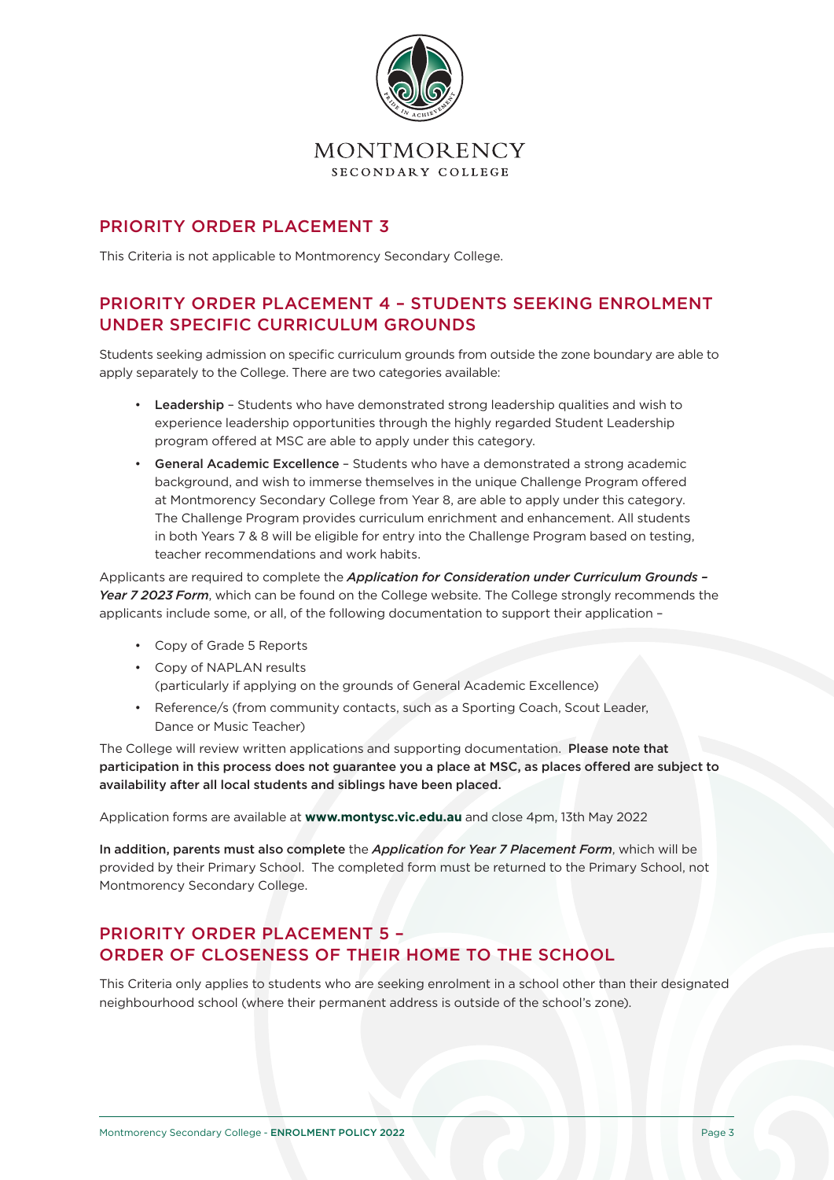

### PRIORITY ORDER PLACEMENT 3

This Criteria is not applicable to Montmorency Secondary College.

# PRIORITY ORDER PLACEMENT 4 – STUDENTS SEEKING ENROLMENT UNDER SPECIFIC CURRICULUM GROUNDS

Students seeking admission on specific curriculum grounds from outside the zone boundary are able to apply separately to the College. There are two categories available:

- Leadership Students who have demonstrated strong leadership qualities and wish to experience leadership opportunities through the highly regarded Student Leadership program offered at MSC are able to apply under this category.
- General Academic Excellence Students who have a demonstrated a strong academic background, and wish to immerse themselves in the unique Challenge Program offered at Montmorency Secondary College from Year 8, are able to apply under this category. The Challenge Program provides curriculum enrichment and enhancement. All students in both Years 7 & 8 will be eligible for entry into the Challenge Program based on testing, teacher recommendations and work habits.

Applicants are required to complete the *Application for Consideration under Curriculum Grounds –*  Year 7 2023 Form, which can be found on the College website. The College strongly recommends the applicants include some, or all, of the following documentation to support their application –

- Copy of Grade 5 Reports
- Copy of NAPLAN results (particularly if applying on the grounds of General Academic Excellence)
- Reference/s (from community contacts, such as a Sporting Coach, Scout Leader, Dance or Music Teacher)

The College will review written applications and supporting documentation. Please note that participation in this process does not guarantee you a place at MSC, as places offered are subject to availability after all local students and siblings have been placed.

Application forms are available at **www.montysc.vic.edu.au** and close 4pm, 13th May 2022

In addition, parents must also complete the *Application for Year 7 Placement Form*, which will be provided by their Primary School. The completed form must be returned to the Primary School, not Montmorency Secondary College.

# PRIORITY ORDER PLACEMENT 5 – ORDER OF CLOSENESS OF THEIR HOME TO THE SCHOOL

This Criteria only applies to students who are seeking enrolment in a school other than their designated neighbourhood school (where their permanent address is outside of the school's zone).